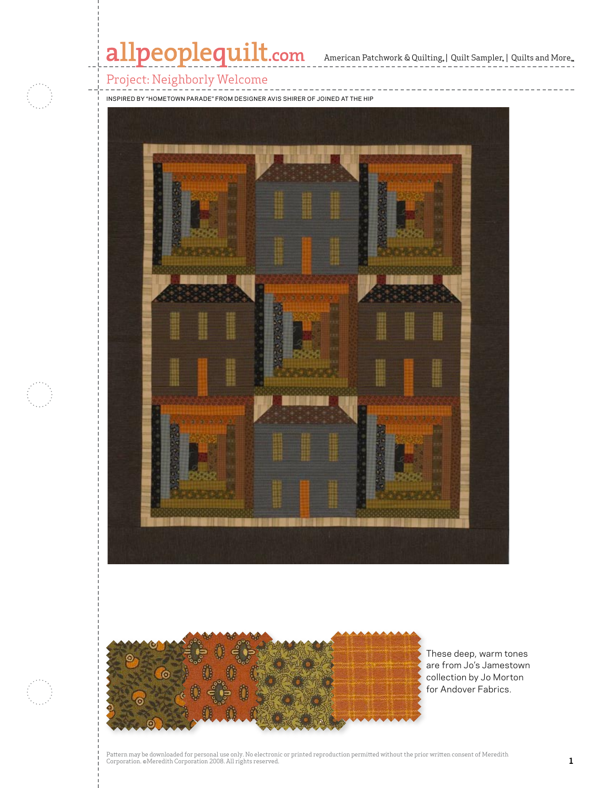## allpeoplequilt.com American Patchwork & Quilting, | Quilt Sampler, | Quilts and More...

### Project: Neighborly Welcome

Inspired by "Hometown Parade" From Designer Avis Shirer of Joined at the Hip





These deep, warm tones are from Jo's Jamestown collection by Jo Morton for Andover Fabrics.

Pattern may be downloaded for personal use only. No electronic or printed reproduction permitted without the prior written consent of Meredith<br>Corporation. ©Meredith Corporation 2008. All rights reserved.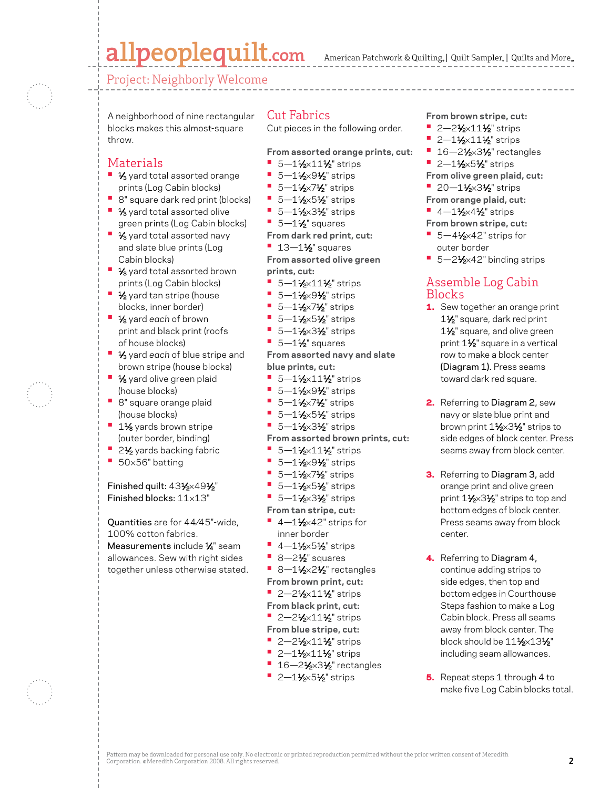# allpeoplequilt.com

American Patchwork & Quilting,  $|$  Quilt Sampler,  $|$  Quilts and More,

Project: Neighborly Welcome

A neighborhood of nine rectangular blocks makes this almost-square throw.

### Materials

- **1/3** yard total assorted orange prints (Log Cabin blocks)
- **•**  8" square dark red print (blocks)
- **1/3** yard total assorted olive green prints (Log Cabin blocks)
- **1/3** yard total assorted navy and slate blue prints (Log Cabin blocks)
- **1/3** yard total assorted brown prints (Log Cabin blocks)
- **1/<sub>2</sub>** yard tan stripe (house blocks, inner border)
- **•**  1⁄8 yard *each* of brown print and black print (roofs of house blocks)
- **1/3** yard each of blue stripe and brown stripe (house blocks)
- **1/8** yard olive green plaid (house blocks)
- **•**  8" square orange plaid (house blocks)
- **<sup>■</sup>** 1<sup>1</sup>⁄<sub>8</sub> yards brown stripe (outer border, binding)
- <sup>•</sup> 2<sup>1</sup>⁄<sub>2</sub> yards backing fabric
- **•**  <sup>50</sup>×56" batting

Finished quilt: 431/2×491/2" Finished blocks: 11×13"

Quantities are for 44⁄45"-wide, 100% cotton fabrics. Measurements include 1/4" seam

allowances. Sew with right sides together unless otherwise stated.

#### Cut Fabrics

Cut pieces in the following order.

**From assorted orange prints, cut:**

- **•** 5-11/<sub>2</sub>×111/<sub>2</sub>" strips
- **•** 5—1½×9½" strips
- **•** 5—1½×7½" strips
- **•** 5—1½×5½" strips
- **•** 5—1½×3½" strips
- $\blacksquare$  5-1<sup>1</sup>/<sub>2</sub>" squares

**From dark red print, cut:**

**•** 13-1½" squares

**From assorted olive green prints, cut:**

- **•** 5-1½×11½" strips
- **•** 5-11/2×91/2" strips
- **•** 5—1½×7½" strips
- **•** 5—1½×5½" strips
- **•** 5—1½×3½" strips
- $\blacksquare$  5—1 $\frac{1}{2}$ " squares

**From assorted navy and slate blue prints, cut:**

- **•** 5-1½×11½ strips
- **•** 5—1½×9½" strips
- **•** 5—1½×7½" strips
- **•** 5—1½×5½" strips
- **•** 5-11/2×31/2" strips
- **From assorted brown prints, cut:**
- **•** 5—1½×11½" strips
- **•** 5—1½×9½" strips
- **•** 5—1½×7½" strips
- **•** 5—1½×5½" strips
- **•** 5-11⁄2×31⁄2" strips
- **From tan stripe, cut:**
- **•** 4–11⁄2×42" strips for
- inner border
- **•** 4-11⁄2×51⁄2" strips
- 8-2<sup>1</sup>⁄<sub>2</sub>" squares
- 8-1½×2½" rectangles **From brown print, cut:**
- <sup>•</sup> 2–2½×11½" strips
- **From black print, cut:**
- **•** 2-2<sup>1</sup>/<sub>2</sub>×11<sup>1</sup>/<sub>2</sub><sup>"</sup> strips
- **From blue stripe, cut:**
- **•** 2–21⁄<sub>2</sub>×11<sup>1</sup>⁄<sub>2</sub>" strips
- **•** 2–1½×11½" strips
- **16-21/2×31/2** rectangles
- **•** 2–1½×5½" strips

**From brown stripe, cut:**

- **•** 2–21⁄2×11<sup>1</sup>⁄2" strips
- **•** 2-11⁄2×11<sup>1</sup>/<sub>2</sub>" strips
- **•** 16-21⁄2×31⁄2" rectangles
- **•** 2-11⁄2×51⁄2" strips
- **From olive green plaid, cut:**
- **•** 20–1½×3½" strips
- **From orange plaid, cut:**
- **•** 4–1 $\frac{1}{2}$ ×4 $\frac{1}{2}$  strips
- **From brown stripe, cut:**
- 5-4<sup>1</sup>⁄<sub>2</sub>×42" strips for outer border
- 5–2<sup>1</sup>⁄<sub>2×42</sub>" binding strips

### Assemble Log Cabin Blocks

- 1. Sew together an orange print 1<sup>1/2</sup> square, dark red print 1<sup>1/2</sup> square, and olive green print  $1\frac{1}{2}$ " square in a vertical row to make a block center (Diagram 1). Press seams toward dark red square.
- 2. Referring to Diagram 2, sew navy or slate blue print and brown print 11⁄2×31⁄2" strips to side edges of block center. Press seams away from block center.
- **3.** Referring to Diagram 3, add orange print and olive green print 11⁄2×31⁄2" strips to top and bottom edges of block center. Press seams away from block center.
- 4. Referring to Diagram 4, continue adding strips to side edges, then top and bottom edges in Courthouse Steps fashion to make a Log Cabin block. Press all seams away from block center. The block should be  $11\frac{1}{2} \times 13\frac{1}{2}$ " including seam allowances.
- 5. Repeat steps 1 through 4 to make five Log Cabin blocks total.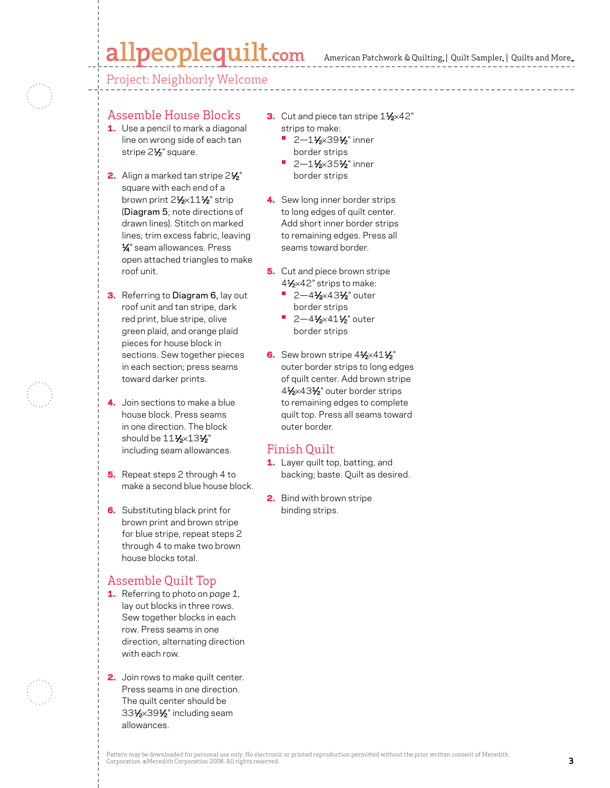# allpeoplequilt.com

American Patchwork & Quilting,  $|$  Quilt Sampler,  $|$  Quilts and More,

Project: Neighborly Welcome



### Assemble House Blocks

- **1.** Use a pencil to mark a diagonal line on wrong side of each tan stripe 2<sup>1/2</sup> square.
- 2. Align a marked tan stripe 21/<sub>2</sub>" square with each end of a brown print 2<sup>1</sup>/<sub>2</sub>×11<sup>1</sup>/<sub>2</sub>" strip (Diagram 5; note directions of drawn lines). Stitch on marked lines; trim excess fabric, leaving 1⁄4" seam allowances. Press open attached triangles to make roof unit.
- **3.** Referring to Diagram 6, lay out roof unit and tan stripe, dark red print, blue stripe, olive green plaid, and orange plaid pieces for house block in sections. Sew together pieces in each section; press seams toward darker prints.
- 4. Join sections to make a blue house block. Press seams in one direction. The block should be  $11\frac{1}{2} \times 13\frac{1}{2}$ " including seam allowances.
- 5. Repeat steps 2 through 4 to make a second blue house block.
- **6.** Substituting black print for brown print and brown stripe for blue stripe, repeat steps 2 through 4 to make two brown house blocks total.

### Assemble Quilt Top

- 1. Referring to photo on *page 1*, lay out blocks in three rows. Sew together blocks in each row. Press seams in one direction, alternating direction with each row.
- **2.** Join rows to make quilt center. Press seams in one direction. The quilt center should be 331⁄2×391⁄2" including seam allowances.
- 3. Cut and piece tan stripe 11⁄2×42" strips to make:
	- **•** 2-11⁄2×39<sup>1</sup>/<sub>2</sub>" inner border strips
	- **•** 2—11⁄2×351⁄2" inner border strips
- 4. Sew long inner border strips to long edges of quilt center. Add short inner border strips to remaining edges. Press all seams toward border.
- **5.** Cut and piece brown stripe 4<sup>1</sup>/<sub>2</sub>×42" strips to make:
	- **•** 2-41⁄2×431⁄2" outer border strips
	- **•** 2-41⁄2×411⁄2" outer border strips
- 6. Sew brown stripe  $4\frac{1}{2} \times 41\frac{1}{2}$ " outer border strips to long edges of quilt center. Add brown stripe 41⁄2×431⁄2" outer border strips to remaining edges to complete quilt top. Press all seams toward outer border.

#### Finish Quilt

- 1. Layer quilt top, batting, and backing; baste. Quilt as desired.
- 2. Bind with brown stripe binding strips.

Pattern may be downloaded for personal use only. No electronic or printed reproduction permitted without the prior written consent of Meredith Corporation. ©Meredith Corporation 2008. All rights reserved. Princet exposued to prince minded the prior minicipality of reserved.